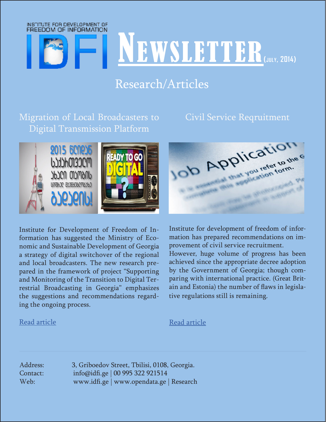

# Research/Articles

Migration of Local Broadcasters to Digital Transmission Platform

#### Civil Service Reqruitment



Institute for Development of Freedom of Information has suggested the Ministry of Economic and Sustainable Development of Georgia a strategy of digital switchover of the regional and local broadcasters. The new research prepared in the framework of project "Supporting and Monitoring of the Transition to Digital Terrestrial Broadcasting in Georgia" emphasizes the suggestions and recommendations regarding the ongoing process.

#### [Read article](https://idfi.ge/ge/migration-of-local-broadcasters-to-digital-transmission-platform)

Institute for development of freedom of information has prepared recommendations on improvement of civil service recruitment. However, huge volume of progress has been achieved since the appropriate decree adoption by the Government of Georgia; though comparing with international practice. (Great Britain and Estonia) the number of flaws in legislative regulations still is remaining.

[Read article](https://idfi.ge/ge/civil_service_recruitment_17072014)

Address: 3, Griboedov Street, Tbilisi, 0108, Georgia. Contact: info@idfi.ge | 00 995 322 921514 Web: www.idfi.ge | www.opendata.ge | Research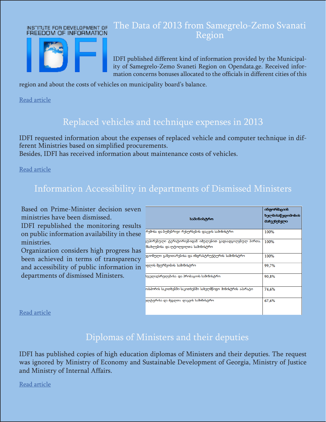#### INSTITUTE FOR DEVELOPMENT OF FREEDOM OF INFORMATION



### The Data of 2013 from Samegrelo-Zemo Svanati Region

IDFI published different kind of information provided by the Municipality of Samegrelo-Zemo Svaneti Region on Opendata.ge. Received information concerns bonuses allocated to the officials in different cities of this

region and about the costs of vehicles on municipality board's balance.

[Read article](https://idfi.ge/ge/2013_data_from_samegrelo_zemo_svaneti)

### Replaced vehicles and technique expenses in 2013

IDFI requested information about the expenses of replaced vehicle and computer technique in different Ministries based on simplified procurements.

Besides, IDFI has received information about maintenance costs of vehicles.

[Read article](https://idfi.ge/ge/replaced_vehicles_and_maintenance_costs_of_the_ministries_in_2013)

## Information Accessibility in departments of Dismissed Ministers

Based on Prime-Minister decision seven ministries have been dismissed.

IDFI republished the monitoring results on public information availability in these ministries.

Organization considers high progress has been achieved in terms of transparency and accessibility of public information in departments of dismissed Ministers.

| სამინისტრო                                                                                                 | ინფორმაციის<br>ხელმისაწვდომობის<br>მაჩვენებელი |
|------------------------------------------------------------------------------------------------------------|------------------------------------------------|
| რემოსა და ბუნებრივი რესურსების დაცვის სამინისტრო                                                           | 100%                                           |
| <mark>ყუპირებული ტერიტორიებიდან იმულებით გადაადგილებულ პირთა,</mark><br>ნსახლებისა და ლტოლვილთა სამინისტრო | 100%                                           |
| ეგიონული განვითარებისა და ინფრასტრუქტურის სამინისტრო                                                       | 100%                                           |
| აფლის მეურნეობის სამინისტრო                                                                                | 99,7%                                          |
| სჯელაღსრულებისა და პრობაციის სამინისტრო                                                                    | 90.8%                                          |
| იასპორის საკითხებში საკითხებში სახელმწიფო მინისტრის აპარატი.                                               | 74,6%                                          |
| ელტურისა და მეგლთა დაცვის სამინისტრო                                                                       | 67,6%                                          |

[Read article](https://idfi.ge/ge/accessibility_of_information_in_the_ministries_of_recently_dismissed_ministers)

#### Diplomas of Ministers and their deputies

IDFI has published copies of high education diplomas of Ministers and their deputies. The request was ignored by Ministry of Economy and Sustainable Development of Georgia, Ministry of Justice and Ministry of Internal Affairs.

[Read article](https://idfi.ge/ge/diplomas_of_the_minister_and_deputy_head)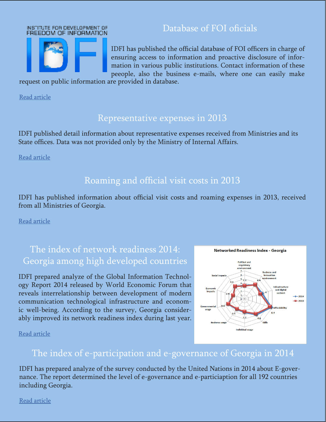#### INSTITUTE FOR DEVELOPMENT OF FREEDOM OF INFORMATION



IDFI has published the official database of FOI officers in charge of ensuring access to information and proactive disclosure of information in various public institutions. Contact information of these peeople, also the business e-mails, where one can easily make

Database of FOI oficials

request on public information are provided in database.

[Read article](https://idfi.ge/ge/database-of-foi-officers)

#### Representative expenses in 2013

IDFI published detail information about representative expenses received from Ministries and its State offices. Data was not provided only by the Ministry of Internal Affairs.

[Read article](https://idfi.ge/ge/representation_expenses_of_ministries_in_2013)

## Roaming and official visit costs in 2013

IDFI has published information about official visit costs and roaming expenses in 2013, received from all Ministries of Georgia.

[Read article](https://idfi.ge/ge/official_visit_costs_of_ministries)

## The index of network readiness 2014: Georgia among high developed countries

IDFI prepared analyze of the Global Information Technology Report 2014 released by World Economic Forum that reveals interrelationship between development of modern communication technological infrastructure and economic well-being. According to the survey, Georgia considerably improved its network readiness index during last year.



[Read article](https://idfi.ge/ge/networked-readiness-index-2014-georgia-among-the-rising-star-countries%20)

### The index of e-participation and e-governance of Georgia in 2014

IDFI has prepared analyze of the survey conducted by the United Nations in 2014 about E-governance. The report determined the level of e-governance and e-particiaption for all 192 countries including Georgia.

[Read article](https://idfi.ge/ge/e-governance-and-e-participation-index-2014-georgia)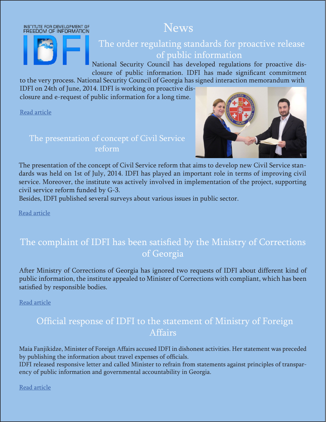



## The order regulating standards for proactive release of public information

News

National Security Council has developed regulations for proactive disclosure of public information. IDFI has made significant commitment

to the very process. National Security Council of Georgia has signed interaction memorandum with IDFI on 24th of June, 2014. IDFI is working on proactive disclosure and e-request of public information for a long time.

[Read article](https://idfi.ge/ge/the_order_regulating_standards_for_proactive_release_of_public_information_has_been_approved)

#### The presentation of concept of Civil Service reform



The presentation of the concept of Civil Service reform that aims to develop new Civil Service standards was held on 1st of July, 2014. IDFI has played an important role in terms of improving civil service. Moreover, the institute was actively involved in implementation of the project, supporting civil service reform funded by G-3.

Besides, IDFI published several surveys about various issues in public sector.

[Read article](https://idfi.ge/ge/presentation-of-a-new-public-service-reform-concept)

## The complaint of IDFI has been satisfied by the Ministry of Corrections of Georgia

After Ministry of Corrections of Georgia has ignored two requests of IDFI about different kind of public information, the institute appealed to Minister of Corrections with compliant, which has been satisfied by responsible bodies.

[Read article](https://idfi.ge/ge/ministry-of-corrections-satisfied-the-complaint-of-idfi)

## Official response of IDFI to the statement of Ministry of Foreign Affairs

Maia Fanjikidze, Minister of Foreign Affairs accused IDFI in dishonest activities. Her statement was preceded by publishing the information about travel expenses of officials.

IDFI released responsive letter and called Minister to refrain from statements against principles of transparency of public information and governmental accountability in Georgia.

[Read article](https://idfi.ge/ge/idfi_response_to_the_minister_of_foregn_affairs)